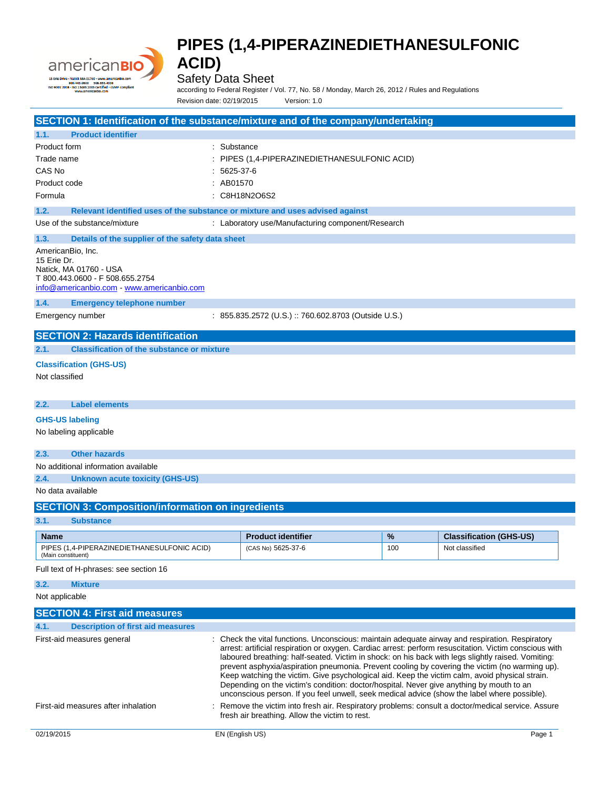

Safety Data Sheet

according to Federal Register / Vol. 77, No. 58 / Monday, March 26, 2012 / Rules and Regulations Revision date: 02/19/2015 Version: 1.0

|                                     | SECTION 1: Identification of the substance/mixture and of the company/undertaking                                                                                                                                                                                                                                                                                                                                                                                                                                                                                                                                                                                                                                                             |           |                                                                                                  |     |                                |  |
|-------------------------------------|-----------------------------------------------------------------------------------------------------------------------------------------------------------------------------------------------------------------------------------------------------------------------------------------------------------------------------------------------------------------------------------------------------------------------------------------------------------------------------------------------------------------------------------------------------------------------------------------------------------------------------------------------------------------------------------------------------------------------------------------------|-----------|--------------------------------------------------------------------------------------------------|-----|--------------------------------|--|
| 1.1.                                | <b>Product identifier</b>                                                                                                                                                                                                                                                                                                                                                                                                                                                                                                                                                                                                                                                                                                                     |           |                                                                                                  |     |                                |  |
| Product form<br>Trade name          |                                                                                                                                                                                                                                                                                                                                                                                                                                                                                                                                                                                                                                                                                                                                               |           | : Substance<br>PIPES (1,4-PIPERAZINEDIETHANESULFONIC ACID)                                       |     |                                |  |
| CAS No                              |                                                                                                                                                                                                                                                                                                                                                                                                                                                                                                                                                                                                                                                                                                                                               | 5625-37-6 |                                                                                                  |     |                                |  |
| Product code                        |                                                                                                                                                                                                                                                                                                                                                                                                                                                                                                                                                                                                                                                                                                                                               | : AB01570 |                                                                                                  |     |                                |  |
| Formula                             |                                                                                                                                                                                                                                                                                                                                                                                                                                                                                                                                                                                                                                                                                                                                               |           | : C8H18N2O6S2                                                                                    |     |                                |  |
| 1.2.                                | Relevant identified uses of the substance or mixture and uses advised against                                                                                                                                                                                                                                                                                                                                                                                                                                                                                                                                                                                                                                                                 |           |                                                                                                  |     |                                |  |
|                                     | Use of the substance/mixture                                                                                                                                                                                                                                                                                                                                                                                                                                                                                                                                                                                                                                                                                                                  |           | : Laboratory use/Manufacturing component/Research                                                |     |                                |  |
| 1.3.<br>15 Erie Dr.                 | Details of the supplier of the safety data sheet<br>AmericanBio, Inc.<br>Natick, MA 01760 - USA<br>T 800.443.0600 - F 508.655.2754<br>info@americanbio.com www.americanbio.com                                                                                                                                                                                                                                                                                                                                                                                                                                                                                                                                                                |           |                                                                                                  |     |                                |  |
| 1.4.                                | <b>Emergency telephone number</b>                                                                                                                                                                                                                                                                                                                                                                                                                                                                                                                                                                                                                                                                                                             |           |                                                                                                  |     |                                |  |
|                                     | Emergency number                                                                                                                                                                                                                                                                                                                                                                                                                                                                                                                                                                                                                                                                                                                              |           | $: 855.835.2572$ (U.S.) $: 760.602.8703$ (Outside U.S.)                                          |     |                                |  |
|                                     | <b>SECTION 2: Hazards identification</b>                                                                                                                                                                                                                                                                                                                                                                                                                                                                                                                                                                                                                                                                                                      |           |                                                                                                  |     |                                |  |
| 2.1.                                | <b>Classification of the substance or mixture</b>                                                                                                                                                                                                                                                                                                                                                                                                                                                                                                                                                                                                                                                                                             |           |                                                                                                  |     |                                |  |
|                                     | <b>Classification (GHS-US)</b>                                                                                                                                                                                                                                                                                                                                                                                                                                                                                                                                                                                                                                                                                                                |           |                                                                                                  |     |                                |  |
| Not classified                      |                                                                                                                                                                                                                                                                                                                                                                                                                                                                                                                                                                                                                                                                                                                                               |           |                                                                                                  |     |                                |  |
| 2.2.                                | <b>Label elements</b>                                                                                                                                                                                                                                                                                                                                                                                                                                                                                                                                                                                                                                                                                                                         |           |                                                                                                  |     |                                |  |
|                                     | <b>GHS-US labeling</b>                                                                                                                                                                                                                                                                                                                                                                                                                                                                                                                                                                                                                                                                                                                        |           |                                                                                                  |     |                                |  |
|                                     | No labeling applicable                                                                                                                                                                                                                                                                                                                                                                                                                                                                                                                                                                                                                                                                                                                        |           |                                                                                                  |     |                                |  |
| 2.3.                                | <b>Other hazards</b>                                                                                                                                                                                                                                                                                                                                                                                                                                                                                                                                                                                                                                                                                                                          |           |                                                                                                  |     |                                |  |
|                                     | No additional information available                                                                                                                                                                                                                                                                                                                                                                                                                                                                                                                                                                                                                                                                                                           |           |                                                                                                  |     |                                |  |
| 2.4.                                | <b>Unknown acute toxicity (GHS-US)</b>                                                                                                                                                                                                                                                                                                                                                                                                                                                                                                                                                                                                                                                                                                        |           |                                                                                                  |     |                                |  |
|                                     | No data available                                                                                                                                                                                                                                                                                                                                                                                                                                                                                                                                                                                                                                                                                                                             |           |                                                                                                  |     |                                |  |
|                                     | <b>SECTION 3: Composition/information on ingredients</b>                                                                                                                                                                                                                                                                                                                                                                                                                                                                                                                                                                                                                                                                                      |           |                                                                                                  |     |                                |  |
| 3.1.                                | <b>Substance</b>                                                                                                                                                                                                                                                                                                                                                                                                                                                                                                                                                                                                                                                                                                                              |           |                                                                                                  |     |                                |  |
| Name                                |                                                                                                                                                                                                                                                                                                                                                                                                                                                                                                                                                                                                                                                                                                                                               |           | <b>Product identifier</b>                                                                        | %   | <b>Classification (GHS-US)</b> |  |
| (Main constituent)                  | PIPES (1,4-PIPERAZINEDIETHANESULFONIC ACID)                                                                                                                                                                                                                                                                                                                                                                                                                                                                                                                                                                                                                                                                                                   |           | (CAS No) 5625-37-6                                                                               | 100 | Not classified                 |  |
|                                     | Full text of H-phrases: see section 16                                                                                                                                                                                                                                                                                                                                                                                                                                                                                                                                                                                                                                                                                                        |           |                                                                                                  |     |                                |  |
| 3.2.                                | <b>Mixture</b>                                                                                                                                                                                                                                                                                                                                                                                                                                                                                                                                                                                                                                                                                                                                |           |                                                                                                  |     |                                |  |
| Not applicable                      |                                                                                                                                                                                                                                                                                                                                                                                                                                                                                                                                                                                                                                                                                                                                               |           |                                                                                                  |     |                                |  |
|                                     | <b>SECTION 4: First aid measures</b>                                                                                                                                                                                                                                                                                                                                                                                                                                                                                                                                                                                                                                                                                                          |           |                                                                                                  |     |                                |  |
| 4.1.                                | <b>Description of first aid measures</b>                                                                                                                                                                                                                                                                                                                                                                                                                                                                                                                                                                                                                                                                                                      |           |                                                                                                  |     |                                |  |
|                                     | : Check the vital functions. Unconscious: maintain adequate airway and respiration. Respiratory<br>First-aid measures general<br>arrest: artificial respiration or oxygen. Cardiac arrest: perform resuscitation. Victim conscious with<br>laboured breathing: half-seated. Victim in shock: on his back with legs slightly raised. Vomiting:<br>prevent asphyxia/aspiration pneumonia. Prevent cooling by covering the victim (no warming up).<br>Keep watching the victim. Give psychological aid. Keep the victim calm, avoid physical strain.<br>Depending on the victim's condition: doctor/hospital. Never give anything by mouth to an<br>unconscious person. If you feel unwell, seek medical advice (show the label where possible). |           |                                                                                                  |     |                                |  |
| First-aid measures after inhalation |                                                                                                                                                                                                                                                                                                                                                                                                                                                                                                                                                                                                                                                                                                                                               |           | Remove the victim into fresh air. Respiratory problems: consult a doctor/medical service. Assure |     |                                |  |

fresh air breathing. Allow the victim to rest.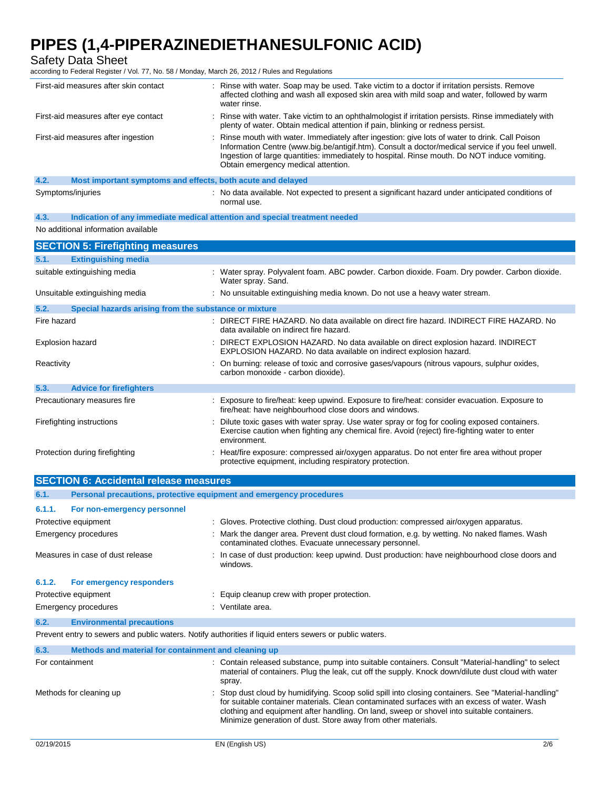Safety Data Sheet

according to Federal Register / Vol. 77, No. 58 / Monday, March 26, 2012 / Rules and Regulations

|                                    | First-aid measures after skin contact                       | : Rinse with water. Soap may be used. Take victim to a doctor if irritation persists. Remove<br>affected clothing and wash all exposed skin area with mild soap and water, followed by warm<br>water rinse.                                                                                                                                 |
|------------------------------------|-------------------------------------------------------------|---------------------------------------------------------------------------------------------------------------------------------------------------------------------------------------------------------------------------------------------------------------------------------------------------------------------------------------------|
|                                    | First-aid measures after eye contact                        | : Rinse with water. Take victim to an ophthalmologist if irritation persists. Rinse immediately with<br>plenty of water. Obtain medical attention if pain, blinking or redness persist.                                                                                                                                                     |
| First-aid measures after ingestion |                                                             | : Rinse mouth with water. Immediately after ingestion: give lots of water to drink. Call Poison<br>Information Centre (www.big.be/antigif.htm). Consult a doctor/medical service if you feel unwell.<br>Ingestion of large quantities: immediately to hospital. Rinse mouth. Do NOT induce vomiting.<br>Obtain emergency medical attention. |
| 4.2.                               | Most important symptoms and effects, both acute and delayed |                                                                                                                                                                                                                                                                                                                                             |
| Symptoms/injuries                  |                                                             | : No data available. Not expected to present a significant hazard under anticipated conditions of<br>normal use.                                                                                                                                                                                                                            |

**4.3. Indication of any immediate medical attention and special treatment needed**

No additional information available

| <b>SECTION 5: Firefighting measures</b>                       |                                                                                                                                                                                                                |  |  |
|---------------------------------------------------------------|----------------------------------------------------------------------------------------------------------------------------------------------------------------------------------------------------------------|--|--|
| 5.1.<br><b>Extinguishing media</b>                            |                                                                                                                                                                                                                |  |  |
| suitable extinguishing media                                  | : Water spray. Polyvalent foam. ABC powder. Carbon dioxide. Foam. Dry powder. Carbon dioxide.<br>Water spray. Sand.                                                                                            |  |  |
| Unsuitable extinguishing media                                | : No unsuitable extinguishing media known. Do not use a heavy water stream.                                                                                                                                    |  |  |
| 5.2.<br>Special hazards arising from the substance or mixture |                                                                                                                                                                                                                |  |  |
| Fire hazard                                                   | : DIRECT FIRE HAZARD. No data available on direct fire hazard. INDIRECT FIRE HAZARD. No<br>data available on indirect fire hazard.                                                                             |  |  |
| Explosion hazard                                              | : DIRECT EXPLOSION HAZARD. No data available on direct explosion hazard. INDIRECT<br>EXPLOSION HAZARD. No data available on indirect explosion hazard.                                                         |  |  |
| Reactivity                                                    | : On burning: release of toxic and corrosive gases/vapours (nitrous vapours, sulphur oxides,<br>carbon monoxide - carbon dioxide).                                                                             |  |  |
| 5.3.<br><b>Advice for firefighters</b>                        |                                                                                                                                                                                                                |  |  |
| Precautionary measures fire                                   | : Exposure to fire/heat: keep upwind. Exposure to fire/heat: consider evacuation. Exposure to<br>fire/heat: have neighbourhood close doors and windows.                                                        |  |  |
| Firefighting instructions                                     | : Dilute toxic gases with water spray. Use water spray or fog for cooling exposed containers.<br>Exercise caution when fighting any chemical fire. Avoid (reject) fire-fighting water to enter<br>environment. |  |  |
| Protection during firefighting                                | : Heat/fire exposure: compressed air/oxygen apparatus. Do not enter fire area without proper<br>protective equipment, including respiratory protection.                                                        |  |  |

| <b>SECTION 6: Accidental release measures</b> |                                                                     |                                                                                                                                                                                                                                                                                                                                                                  |  |  |
|-----------------------------------------------|---------------------------------------------------------------------|------------------------------------------------------------------------------------------------------------------------------------------------------------------------------------------------------------------------------------------------------------------------------------------------------------------------------------------------------------------|--|--|
| 6.1.                                          | Personal precautions, protective equipment and emergency procedures |                                                                                                                                                                                                                                                                                                                                                                  |  |  |
| 6.1.1.                                        | For non-emergency personnel                                         |                                                                                                                                                                                                                                                                                                                                                                  |  |  |
| Protective equipment                          |                                                                     | : Gloves. Protective clothing. Dust cloud production: compressed air/oxygen apparatus.                                                                                                                                                                                                                                                                           |  |  |
| Emergency procedures                          |                                                                     | : Mark the danger area. Prevent dust cloud formation, e.g. by wetting. No naked flames. Wash<br>contaminated clothes. Evacuate unnecessary personnel.                                                                                                                                                                                                            |  |  |
| Measures in case of dust release              |                                                                     | : In case of dust production: keep upwind. Dust production: have neighbourhood close doors and<br>windows.                                                                                                                                                                                                                                                       |  |  |
| 6.1.2.                                        | For emergency responders                                            |                                                                                                                                                                                                                                                                                                                                                                  |  |  |
| Protective equipment                          |                                                                     | : Equip cleanup crew with proper protection.                                                                                                                                                                                                                                                                                                                     |  |  |
| Emergency procedures                          |                                                                     | : Ventilate area.                                                                                                                                                                                                                                                                                                                                                |  |  |
| 6.2.                                          | <b>Environmental precautions</b>                                    |                                                                                                                                                                                                                                                                                                                                                                  |  |  |
|                                               |                                                                     | Prevent entry to sewers and public waters. Notify authorities if liquid enters sewers or public waters.                                                                                                                                                                                                                                                          |  |  |
| 6.3.                                          | Methods and material for containment and cleaning up                |                                                                                                                                                                                                                                                                                                                                                                  |  |  |
| For containment                               |                                                                     | : Contain released substance, pump into suitable containers. Consult "Material-handling" to select<br>material of containers. Plug the leak, cut off the supply. Knock down/dilute dust cloud with water<br>spray.                                                                                                                                               |  |  |
| Methods for cleaning up                       |                                                                     | "Stop dust cloud by humidifying. Scoop solid spill into closing containers. See "Material-handling"<br>for suitable container materials. Clean contaminated surfaces with an excess of water. Wash<br>clothing and equipment after handling. On land, sweep or shovel into suitable containers.<br>Minimize generation of dust. Store away from other materials. |  |  |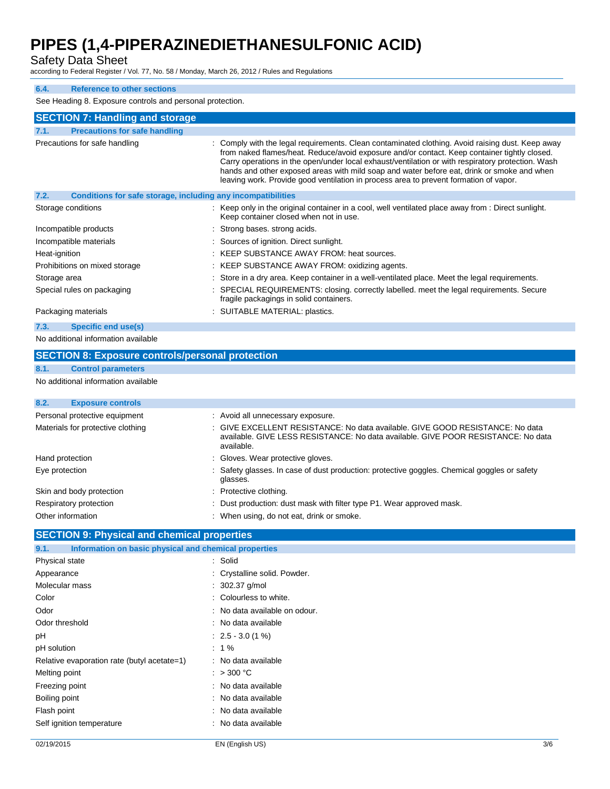Safety Data Sheet

according to Federal Register / Vol. 77, No. 58 / Monday, March 26, 2012 / Rules and Regulations

#### **6.4. Reference to other sections**

See Heading 8. Exposure controls and personal protection.

| <b>SECTION 7: Handling and storage</b>                                      |                                                                                                                                                                                                                                                                                                                                                                                                                                                                                              |  |  |
|-----------------------------------------------------------------------------|----------------------------------------------------------------------------------------------------------------------------------------------------------------------------------------------------------------------------------------------------------------------------------------------------------------------------------------------------------------------------------------------------------------------------------------------------------------------------------------------|--|--|
| <b>Precautions for safe handling</b><br>7.1.                                |                                                                                                                                                                                                                                                                                                                                                                                                                                                                                              |  |  |
| Precautions for safe handling                                               | : Comply with the legal requirements. Clean contaminated clothing. Avoid raising dust. Keep away<br>from naked flames/heat. Reduce/avoid exposure and/or contact. Keep container tightly closed.<br>Carry operations in the open/under local exhaust/ventilation or with respiratory protection. Wash<br>hands and other exposed areas with mild soap and water before eat, drink or smoke and when<br>leaving work. Provide good ventilation in process area to prevent formation of vapor. |  |  |
| 7.2.<br><b>Conditions for safe storage, including any incompatibilities</b> |                                                                                                                                                                                                                                                                                                                                                                                                                                                                                              |  |  |
| Storage conditions                                                          | : Keep only in the original container in a cool, well ventilated place away from : Direct sunlight.<br>Keep container closed when not in use.                                                                                                                                                                                                                                                                                                                                                |  |  |
| Incompatible products                                                       | : Strong bases, strong acids.                                                                                                                                                                                                                                                                                                                                                                                                                                                                |  |  |
| Incompatible materials                                                      | : Sources of ignition. Direct sunlight.                                                                                                                                                                                                                                                                                                                                                                                                                                                      |  |  |
| Heat-ignition                                                               | : KEEP SUBSTANCE AWAY FROM: heat sources.                                                                                                                                                                                                                                                                                                                                                                                                                                                    |  |  |
| Prohibitions on mixed storage                                               | : KEEP SUBSTANCE AWAY FROM: oxidizing agents.                                                                                                                                                                                                                                                                                                                                                                                                                                                |  |  |
| Storage area                                                                | : Store in a dry area. Keep container in a well-ventilated place. Meet the legal requirements.                                                                                                                                                                                                                                                                                                                                                                                               |  |  |
| Special rules on packaging                                                  | : SPECIAL REQUIREMENTS: closing. correctly labelled. meet the legal requirements. Secure<br>fragile packagings in solid containers.                                                                                                                                                                                                                                                                                                                                                          |  |  |
| Packaging materials                                                         | : SUITABLE MATERIAL: plastics.                                                                                                                                                                                                                                                                                                                                                                                                                                                               |  |  |
| Specific end use(s)<br>7.3.                                                 |                                                                                                                                                                                                                                                                                                                                                                                                                                                                                              |  |  |

No additional information available

#### **SECTION 8: Exposure controls/personal protection 8.1. Control parameters**

No additional information available

| : Avoid all unnecessary exposure.                                                                                                                                                |  |  |
|----------------------------------------------------------------------------------------------------------------------------------------------------------------------------------|--|--|
| : GIVE EXCELLENT RESISTANCE: No data available, GIVE GOOD RESISTANCE: No data<br>available. GIVE LESS RESISTANCE: No data available. GIVE POOR RESISTANCE: No data<br>available. |  |  |
| : Gloves. Wear protective gloves.                                                                                                                                                |  |  |
| : Safety glasses. In case of dust production: protective goggles. Chemical goggles or safety<br>glasses.                                                                         |  |  |
| : Protective clothing.                                                                                                                                                           |  |  |
| : Dust production: dust mask with filter type P1. Wear approved mask.                                                                                                            |  |  |
| : When using, do not eat, drink or smoke.                                                                                                                                        |  |  |
|                                                                                                                                                                                  |  |  |

#### **SECTION 9: Physical and chemical properties**

| Information on basic physical and chemical properties<br>9.1. |                                |  |  |
|---------------------------------------------------------------|--------------------------------|--|--|
| Physical state                                                | : Solid                        |  |  |
| Appearance                                                    | : Crystalline solid. Powder.   |  |  |
| Molecular mass                                                | $: 302.37$ g/mol               |  |  |
| Color                                                         | : Colourless to white.         |  |  |
| Odor                                                          | : No data available on odour.  |  |  |
| Odor threshold                                                | : No data available            |  |  |
| рH                                                            | $\therefore$ 2.5 $-$ 3.0 (1 %) |  |  |
| pH solution                                                   | $: 1\%$                        |  |  |
| Relative evaporation rate (butyl acetate=1)                   | : No data available            |  |  |
| Melting point                                                 | : $>300^{\circ}$ C             |  |  |
| Freezing point                                                | : No data available            |  |  |
| Boiling point                                                 | : No data available            |  |  |
| Flash point                                                   | : No data available            |  |  |
| Self ignition temperature                                     | : No data available            |  |  |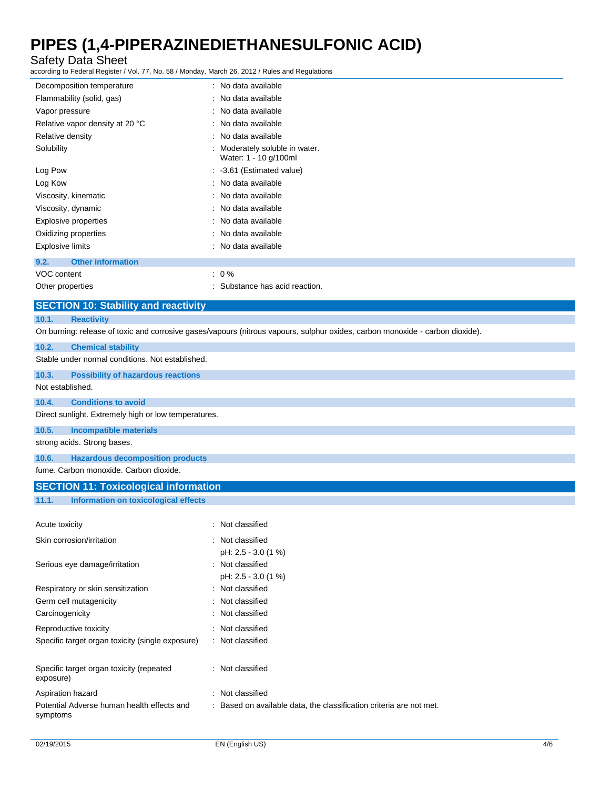Safety Data Sheet

according to Federal Register / Vol. 77, No. 58 / Monday, March 26, 2012 / Rules and Regulations

| Decomposition temperature                                                                                                     | : No data available                                   |  |  |
|-------------------------------------------------------------------------------------------------------------------------------|-------------------------------------------------------|--|--|
| Flammability (solid, gas)                                                                                                     | : No data available                                   |  |  |
| Vapor pressure                                                                                                                | : No data available                                   |  |  |
| Relative vapor density at 20 °C                                                                                               | : No data available                                   |  |  |
| Relative density                                                                                                              | : No data available                                   |  |  |
| Solubility                                                                                                                    | Moderately soluble in water.<br>Water: 1 - 10 g/100ml |  |  |
| Log Pow                                                                                                                       | : -3.61 (Estimated value)                             |  |  |
| Log Kow                                                                                                                       | : No data available                                   |  |  |
| Viscosity, kinematic                                                                                                          | : No data available                                   |  |  |
| Viscosity, dynamic                                                                                                            | : No data available                                   |  |  |
| <b>Explosive properties</b>                                                                                                   | : No data available                                   |  |  |
| Oxidizing properties                                                                                                          | : No data available                                   |  |  |
| <b>Explosive limits</b>                                                                                                       | : No data available                                   |  |  |
| <b>Other information</b><br>9.2.                                                                                              |                                                       |  |  |
| VOC content                                                                                                                   | $: 0 \%$                                              |  |  |
| Other properties                                                                                                              | : Substance has acid reaction.                        |  |  |
| <b>SECTION 10: Stability and reactivity</b>                                                                                   |                                                       |  |  |
| 10.1.<br><b>Reactivity</b>                                                                                                    |                                                       |  |  |
| On burning: release of toxic and corrosive gases/vapours (nitrous vapours, sulphur oxides, carbon monoxide - carbon dioxide). |                                                       |  |  |
| 10.2.<br><b>Chemical stability</b>                                                                                            |                                                       |  |  |

Stable under normal conditions. Not established.

**10.3. Possibility of hazardous reactions**

Not established.

**10.4. Conditions to avoid**

Direct sunlight. Extremely high or low temperatures.

**10.5. Incompatible materials**

strong acids. Strong bases.

**10.6. Hazardous decomposition products**

fume. Carbon monoxide. Carbon dioxide.

#### **SECTION 11: Toxicological information**

#### **11.1. Information on toxicological effects**

| Acute toxicity                                         | : Not classified                                                    |
|--------------------------------------------------------|---------------------------------------------------------------------|
| Skin corrosion/irritation                              | : Not classified                                                    |
|                                                        | pH: 2.5 - 3.0 (1 %)                                                 |
| Serious eye damage/irritation                          | : Not classified                                                    |
|                                                        | pH: 2.5 - 3.0 (1 %)                                                 |
| Respiratory or skin sensitization                      | : Not classified                                                    |
| Germ cell mutagenicity                                 | : Not classified                                                    |
| Carcinogenicity                                        | : Not classified                                                    |
| Reproductive toxicity                                  | : Not classified                                                    |
| Specific target organ toxicity (single exposure)       | : Not classified                                                    |
|                                                        |                                                                     |
| Specific target organ toxicity (repeated<br>exposure)  | : Not classified                                                    |
| Aspiration hazard                                      | : Not classified                                                    |
| Potential Adverse human health effects and<br>symptoms | : Based on available data, the classification criteria are not met. |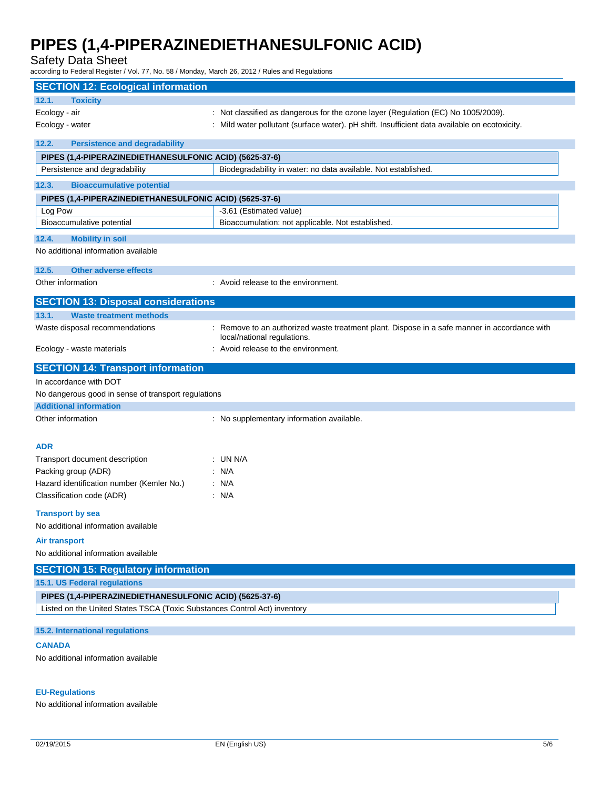Safety Data Sheet

according to Federal Register / Vol. 77, No. 58 / Monday, March 26, 2012 / Rules and Regulations

| <b>SECTION 12: Ecological information</b>                                 |                                                                                                                             |  |  |
|---------------------------------------------------------------------------|-----------------------------------------------------------------------------------------------------------------------------|--|--|
| 12.1.<br><b>Toxicity</b>                                                  |                                                                                                                             |  |  |
| Ecology - air                                                             | : Not classified as dangerous for the ozone layer (Regulation (EC) No 1005/2009).                                           |  |  |
| Ecology - water                                                           | : Mild water pollutant (surface water). pH shift. Insufficient data available on ecotoxicity.                               |  |  |
| <b>Persistence and degradability</b>                                      |                                                                                                                             |  |  |
| 12.2.                                                                     |                                                                                                                             |  |  |
| PIPES (1,4-PIPERAZINEDIETHANESULFONIC ACID) (5625-37-6)                   |                                                                                                                             |  |  |
| Persistence and degradability                                             | Biodegradability in water: no data available. Not established.                                                              |  |  |
| 12.3.<br><b>Bioaccumulative potential</b>                                 |                                                                                                                             |  |  |
| PIPES (1,4-PIPERAZINEDIETHANESULFONIC ACID) (5625-37-6)                   |                                                                                                                             |  |  |
| Log Pow                                                                   | -3.61 (Estimated value)                                                                                                     |  |  |
| Bioaccumulative potential                                                 | Bioaccumulation: not applicable. Not established.                                                                           |  |  |
| 12.4.<br><b>Mobility in soil</b>                                          |                                                                                                                             |  |  |
| No additional information available                                       |                                                                                                                             |  |  |
| 12.5.<br><b>Other adverse effects</b>                                     |                                                                                                                             |  |  |
| Other information                                                         | : Avoid release to the environment.                                                                                         |  |  |
| <b>SECTION 13: Disposal considerations</b>                                |                                                                                                                             |  |  |
| 13.1.<br><b>Waste treatment methods</b>                                   |                                                                                                                             |  |  |
| Waste disposal recommendations                                            | : Remove to an authorized waste treatment plant. Dispose in a safe manner in accordance with<br>local/national regulations. |  |  |
| Ecology - waste materials                                                 | : Avoid release to the environment.                                                                                         |  |  |
| <b>SECTION 14: Transport information</b>                                  |                                                                                                                             |  |  |
| In accordance with DOT                                                    |                                                                                                                             |  |  |
| No dangerous good in sense of transport regulations                       |                                                                                                                             |  |  |
| <b>Additional information</b>                                             |                                                                                                                             |  |  |
| Other information                                                         | : No supplementary information available.                                                                                   |  |  |
|                                                                           |                                                                                                                             |  |  |
| <b>ADR</b>                                                                |                                                                                                                             |  |  |
| Transport document description                                            | : UN N/A                                                                                                                    |  |  |
| Packing group (ADR)                                                       | : N/A                                                                                                                       |  |  |
| Hazard identification number (Kemler No.)                                 | : N/A                                                                                                                       |  |  |
|                                                                           | : N/A                                                                                                                       |  |  |
| Classification code (ADR)                                                 |                                                                                                                             |  |  |
| <b>Transport by sea</b>                                                   |                                                                                                                             |  |  |
| No additional information available                                       |                                                                                                                             |  |  |
| <b>Air transport</b>                                                      |                                                                                                                             |  |  |
| No additional information available                                       |                                                                                                                             |  |  |
| <b>SECTION 15: Regulatory information</b>                                 |                                                                                                                             |  |  |
| 15.1. US Federal regulations                                              |                                                                                                                             |  |  |
| PIPES (1,4-PIPERAZINEDIETHANESULFONIC ACID) (5625-37-6)                   |                                                                                                                             |  |  |
| Listed on the United States TSCA (Toxic Substances Control Act) inventory |                                                                                                                             |  |  |
| 15.2. International regulations                                           |                                                                                                                             |  |  |
| <b>CANADA</b>                                                             |                                                                                                                             |  |  |
| No additional information available                                       |                                                                                                                             |  |  |
|                                                                           |                                                                                                                             |  |  |

#### **EU-Regulations**

No additional information available